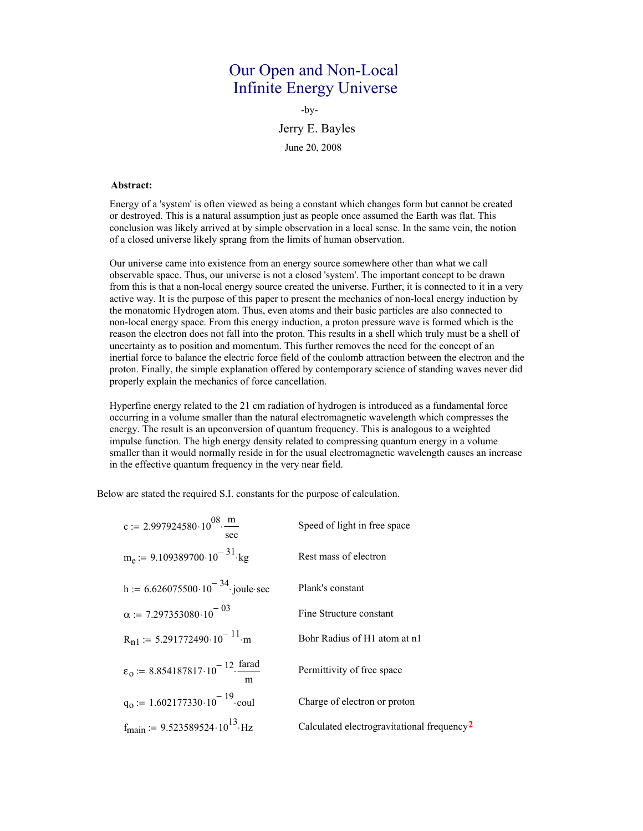# Our Open and Non-Local Infinite Energy Universe

-by-

Jerry E. Bayles

June 20, 2008

## **Abstract:**

Energy of a 'system' is often viewed as being a constant which changes form but cannot be created or destroyed. This is a natural assumption just as people once assumed the Earth was flat. This conclusion was likely arrived at by simple observation in a local sense. In the same vein, the notion of a closed universe likely sprang from the limits of human observation.

Our universe came into existence from an energy source somewhere other than what we call observable space. Thus, our universe is not a closed 'system'. The important concept to be drawn from this is that a non-local energy source created the universe. Further, it is connected to it in a very active way. It is the purpose of this paper to present the mechanics of non-local energy induction by the monatomic Hydrogen atom. Thus, even atoms and their basic particles are also connected to non-local energy space. From this energy induction, a proton pressure wave is formed which is the reason the electron does not fall into the proton. This results in a shell which truly must be a shell of uncertainty as to position and momentum. This further removes the need for the concept of an inertial force to balance the electric force field of the coulomb attraction between the electron and the proton. Finally, the simple explanation offered by contemporary science of standing waves never did properly explain the mechanics of force cancellation.

Hyperfine energy related to the 21 cm radiation of hydrogen is introduced as a fundamental force occurring in a volume smaller than the natural electromagnetic wavelength which compresses the energy. The result is an upconversion of quantum frequency. This is analogous to a weighted impulse function. The high energy density related to compressing quantum energy in a volume smaller than it would normally reside in for the usual electromagnetic wavelength causes an increase in the effective quantum frequency in the very near field.

Below are stated the required S.I. constants for the purpose of calculation.

| c := 2.997924580.10 <sup>08</sup> . $\frac{m}{m}$<br>sec                          | Speed of light in free space                           |
|-----------------------------------------------------------------------------------|--------------------------------------------------------|
| $m_e$ := 9.109389700.10 <sup>-31</sup> kg                                         | Rest mass of electron                                  |
| h := $6.626075500 \cdot 10^{-34}$ joule sec                                       | Plank's constant                                       |
| $\alpha$ := 7.297353080.10 <sup>-03</sup>                                         | Fine Structure constant                                |
| $R_{n1}$ = 5.291772490.10 <sup>-11</sup> m                                        | Bohr Radius of H1 atom at n1                           |
| $\varepsilon_0$ := 8.854187817.10 <sup>-12</sup> . $\frac{\text{farad}}{\ }$<br>m | Permittivity of free space                             |
| $q_0 := 1.602177330 \cdot 10^{-19}$ coul                                          | Charge of electron or proton                           |
| $f_{\text{main}}$ := 9.523589524.10 <sup>13</sup> .Hz                             | Calculated electrogravitational frequency <sup>2</sup> |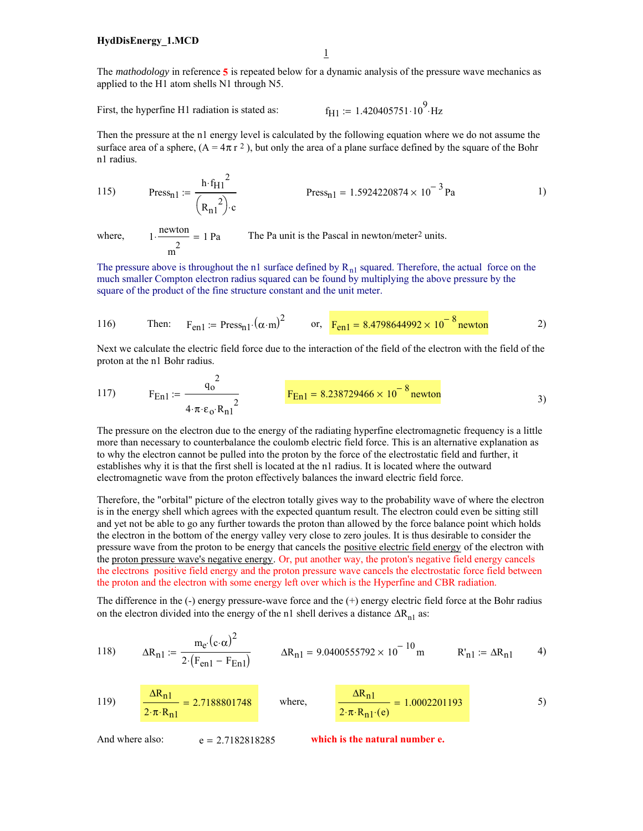The *mathodology* in reference **5** is repeated below for a dynamic analysis of the pressure wave mechanics as applied to the H1 atom shells N1 through N5.

First, the hyperfine H1 radiation is stated as:  $f_{H1} := 1.420405751 \cdot 10^{9}$  Hz

Then the pressure at the n1 energy level is calculated by the following equation where we do not assume the surface area of a sphere,  $(A = 4\pi r^2)$ , but only the area of a plane surface defined by the square of the Bohr n1 radius.

115) 
$$
\text{Press}_{n1} := \frac{h \cdot f_{H1}^{2}}{(R_{n1}^{2}) \cdot c} \qquad \text{Press}_{n1} = 1.5924220874 \times 10^{-3} \text{ Pa}
$$

where,

 $1 \cdot \frac{\text{newton}}{2} = 1 \text{ Pa}$ The Pa unit is the Pascal in newton/meter<sup>2</sup> units.

The pressure above is throughout the n1 surface defined by  $R_{n1}$  squared. Therefore, the actual force on the much smaller Compton electron radius squared can be found by multiplying the above pressure by the square of the product of the fine structure constant and the unit meter.

116) Then: 
$$
F_{en1} = \text{Press}_{n1} \cdot (\alpha \cdot m)^2
$$
 or,  $F_{en1} = 8.4798644992 \times 10^{-8}$  newton 2)

Next we calculate the electric field force due to the interaction of the field of the electron with the field of the proton at the n1 Bohr radius.

117) 
$$
F_{En1} := \frac{q_0^2}{4 \cdot \pi \cdot \epsilon_0 \cdot R_{n1}^2}
$$
 
$$
F_{En1} = 8.238729466 \times 10^{-8} \text{ newton}
$$

The pressure on the electron due to the energy of the radiating hyperfine electromagnetic frequency is a little more than necessary to counterbalance the coulomb electric field force. This is an alternative explanation as to why the electron cannot be pulled into the proton by the force of the electrostatic field and further, it establishes why it is that the first shell is located at the n1 radius. It is located where the outward electromagnetic wave from the proton effectively balances the inward electric field force.

Therefore, the "orbital" picture of the electron totally gives way to the probability wave of where the electron is in the energy shell which agrees with the expected quantum result. The electron could even be sitting still and yet not be able to go any further towards the proton than allowed by the force balance point which holds the electron in the bottom of the energy valley very close to zero joules. It is thus desirable to consider the pressure wave from the proton to be energy that cancels the positive electric field energy of the electron with the proton pressure wave's negative energy. Or, put another way, the proton's negative field energy cancels the electrons positive field energy and the proton pressure wave cancels the electrostatic force field between the proton and the electron with some energy left over which is the Hyperfine and CBR radiation.

The difference in the (-) energy pressure-wave force and the (+) energy electric field force at the Bohr radius on the electron divided into the energy of the n1 shell derives a distance  $\Delta R_{n1}$  as:

118) 
$$
\Delta R_{n1} := \frac{m_e \cdot (c \cdot \alpha)^2}{2 \cdot (F_{en1} - F_{En1})}
$$
  $\Delta R_{n1} = 9.0400555792 \times 10^{-10} m$   $R'_{n1} := \Delta R_{n1}$  4)

119) 
$$
\frac{\Delta R_{n1}}{2 \cdot \pi \cdot R_{n1}} = 2.7188801748 \quad \text{where,} \quad \frac{\Delta R_{n1}}{2 \cdot \pi \cdot R_{n1} \cdot (e)} = 1.0002201193 \quad 5)
$$

And where also:  $e = 2.7182818285$  which is the natural number e.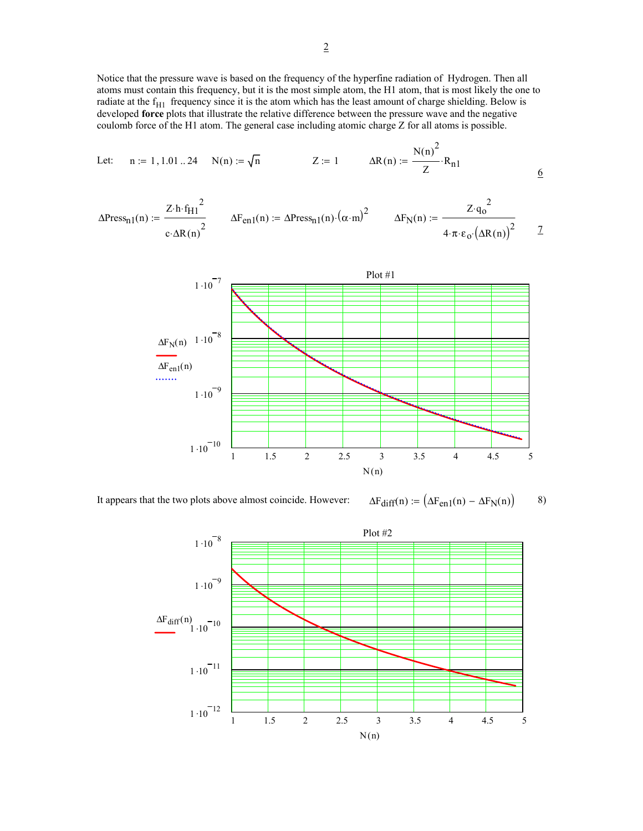Notice that the pressure wave is based on the frequency of the hyperfine radiation of Hydrogen. Then all atoms must contain this frequency, but it is the most simple atom, the H1 atom, that is most likely the one to radiate at the  $f_{H1}$  frequency since it is the atom which has the least amount of charge shielding. Below is developed **force** plots that illustrate the relative difference between the pressure wave and the negative coulomb force of the H1 atom. The general case including atomic charge Z for all atoms is possible.

Let: 
$$
n := 1, 1.01...24
$$
  $N(n) := \sqrt{n}$   $Z := 1$   $\Delta R(n) := \frac{N(n)^2}{Z} \cdot R_{n1}$ 

6

$$
\Delta \text{Press}_{n1}(n) := \frac{Z \cdot h \cdot f_{H1}^2}{c \cdot \Delta R(n)^2} \qquad \Delta F_{en1}(n) := \Delta \text{Press}_{n1}(n) \cdot (\alpha \cdot m)^2 \qquad \Delta F_N(n) := \frac{Z \cdot q_0^2}{4 \cdot \pi \cdot \epsilon_0 \cdot (\Delta R(n))^2} \qquad \frac{Z \cdot q_0}{4 \cdot \pi \cdot \epsilon_0 \cdot (\Delta R(n))^2} \qquad \frac{Z \cdot q_0}{4 \cdot \pi \cdot \epsilon_0 \cdot (\Delta R(n))^2} \qquad \frac{Z \cdot q_0}{4 \cdot \pi \cdot \epsilon_0 \cdot (\Delta R(n))^2} \qquad \frac{Z \cdot q_0}{4 \cdot \pi \cdot \epsilon_0 \cdot (\Delta R(n))^2} \qquad \frac{Z \cdot q_0}{4 \cdot \pi \cdot \epsilon_0 \cdot (\Delta R(n))^2} \qquad \frac{Z \cdot q_0}{4 \cdot \pi \cdot \epsilon_0 \cdot (\Delta R(n))^2} \qquad \frac{Z \cdot q_0}{4 \cdot \pi \cdot \epsilon_0 \cdot (\Delta R(n))^2} \qquad \frac{Z \cdot q_0}{4 \cdot \pi \cdot \epsilon_0 \cdot (\Delta R(n))^2} \qquad \frac{Z \cdot q_0}{4 \cdot \pi \cdot \epsilon_0 \cdot (\Delta R(n))^2} \qquad \frac{Z \cdot q_0}{4 \cdot \pi \cdot \epsilon_0 \cdot (\Delta R(n))^2} \qquad \frac{Z \cdot q_0}{4 \cdot \pi \cdot \epsilon_0 \cdot (\Delta R(n))^2} \qquad \frac{Z \cdot q_0}{4 \cdot \pi \cdot \epsilon_0 \cdot (\Delta R(n))^2} \qquad \frac{Z \cdot q_0}{4 \cdot \pi \cdot \epsilon_0 \cdot (\Delta R(n))^2} \qquad \frac{Z \cdot q_0}{4 \cdot \pi \cdot \epsilon_0 \cdot (\Delta R(n))^2} \qquad \frac{Z \cdot q_0}{4 \cdot \pi \cdot \epsilon_0 \cdot (\Delta R(n))^2} \qquad \frac{Z \cdot q_0}{4 \cdot \pi \cdot \epsilon_0 \cdot (\Delta R(n))^2} \qquad \frac{Z \cdot q_0}{4 \cdot \pi \cdot \epsilon_0 \cdot (\Delta R(n))^2} \qquad \frac{Z \cdot q_0}{4 \cdot \pi \cdot \epsilon_0 \cdot (\Delta R(n))^2} \qquad \frac{Z \cdot q_0}{4 \cdot \pi \cdot \epsilon_0 \cdot (\Delta R(n))^2} \qquad \frac{Z \cdot q_0}{4 \cdot \
$$



It appears that the two plots above almost coincide. However:  $\Delta F_{diff}(n) := (\Delta F_{en1}(n) - \Delta F_N(n))$  8)

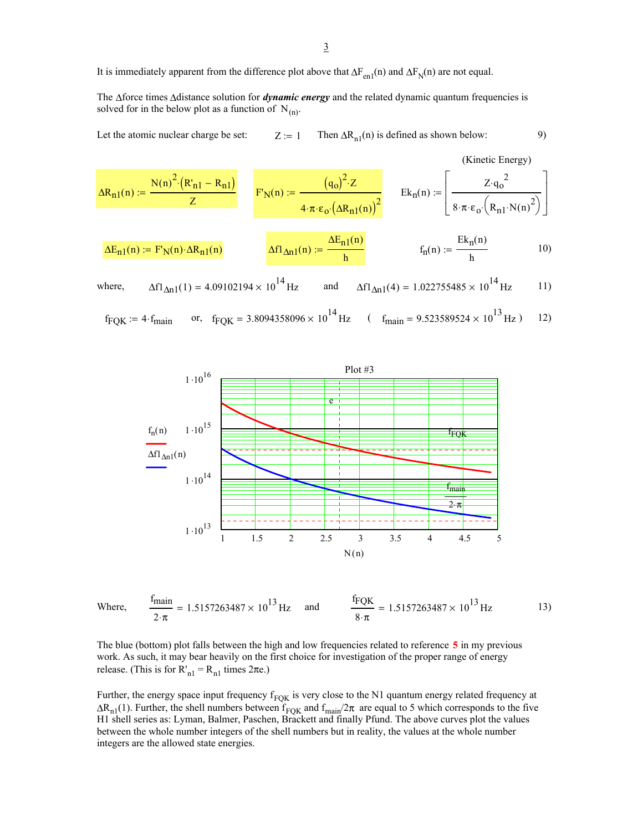It is immediately apparent from the difference plot above that  $\Delta F_{en1}(n)$  and  $\Delta F_N(n)$  are not equal.

The ∆force times ∆distance solution for *dynamic energy* and the related dynamic quantum frequencies is solved for in the below plot as a function of  $N_{(n)}$ .

Let the atomic nuclear charge be set:  $Z := 1$  Then  $\Delta R_{n1}(n)$  is defined as shown below: 9)

$$
\Delta R_{n1}(n) := \frac{N(n)^{2} \cdot (R'_{n1} - R_{n1})}{Z} \qquad F'_{N}(n) := \frac{(q_{o})^{2} \cdot Z}{4 \cdot \pi \cdot \epsilon_{o} \cdot (\Delta R_{n1}(n))^{2}} \qquad \text{Ek}_{n}(n) := \left[\frac{Z \cdot q_{o}^{2}}{8 \cdot \pi \cdot \epsilon_{o} \cdot (R_{n1} \cdot N(n)^{2})}\right]
$$
\n
$$
\Delta E_{n1}(n) := F'_{N}(n) \cdot \Delta R_{n1}(n) \qquad \Delta f1_{\Delta n1}(n) := \frac{\Delta E_{n1}(n)}{h} \qquad f_{n}(n) := \frac{Ek_{n}(n)}{h} \qquad 10)
$$

where, 
$$
\Delta f l_{\Delta n1}(1) = 4.09102194 \times 10^{14} Hz
$$
 and  $\Delta f l_{\Delta n1}(4) = 1.022755485 \times 10^{14} Hz$  11)

$$
f_{\text{FQK}} = 4 \cdot f_{\text{main}}
$$
 or,  $f_{\text{FQK}} = 3.8094358096 \times 10^{14} \text{ Hz}$  ( $f_{\text{main}} = 9.523589524 \times 10^{13} \text{ Hz}$ ) 12)



Where, 
$$
\frac{f_{\text{main}}}{2 \cdot \pi} = 1.5157263487 \times 10^{13} \text{ Hz}
$$
 and  $\frac{f_{\text{FQK}}}{8 \cdot \pi} = 1.5157263487 \times 10^{13} \text{ Hz}$  13)

The blue (bottom) plot falls between the high and low frequencies related to reference **5** in my previous work. As such, it may bear heavily on the first choice for investigation of the proper range of energy release. (This is for  $R'_{nl} = R_{nl}$  times  $2\pi e$ .)

Further, the energy space input frequency  $f_{FQK}$  is very close to the N1 quantum energy related frequency at  $\Delta R_{n1}(1)$ . Further, the shell numbers between  $f_{FQK}$  and  $f_{main}/2\pi$  are equal to 5 which corresponds to the five H1 shell series as: Lyman, Balmer, Paschen, Brackett and finally Pfund. The above curves plot the values between the whole number integers of the shell numbers but in reality, the values at the whole number integers are the allowed state energies.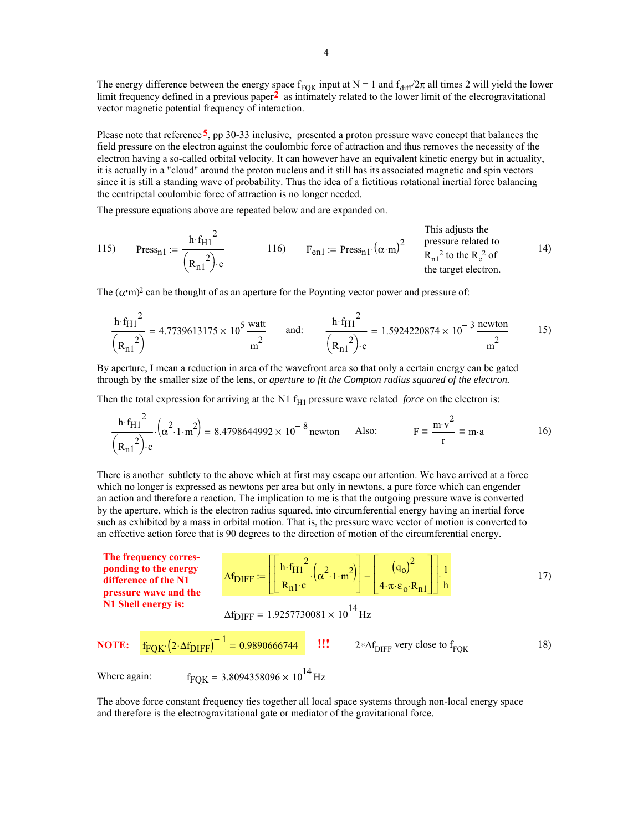The energy difference between the energy space  $f_{FQK}$  input at N = 1 and  $f_{diff}/2\pi$  all times 2 will yield the lower limit frequency defined in a previous paper**2** as intimately related to the lower limit of the elecrogravitational vector magnetic potential frequency of interaction.

Please note that reference **5**, pp 30-33 inclusive, presented a proton pressure wave concept that balances the field pressure on the electron against the coulombic force of attraction and thus removes the necessity of the electron having a so-called orbital velocity. It can however have an equivalent kinetic energy but in actuality, it is actually in a "cloud" around the proton nucleus and it still has its associated magnetic and spin vectors since it is still a standing wave of probability. Thus the idea of a fictitious rotational inertial force balancing the centripetal coulombic force of attraction is no longer needed.

The pressure equations above are repeated below and are expanded on.

115) 
$$
Press_{n1} := \frac{h \cdot f_{H1}^{2}}{(R_{n1}^{2}) \cdot c}
$$
 116) 
$$
F_{en1} := \text{Press}_{n1} \cdot (\alpha \cdot m)^{2}
$$
 116) 
$$
F_{en1} := \text{Press}_{n1} \cdot (\alpha \cdot m)^{2}
$$
 116) 
$$
R_{n1}^{2} \text{ to the } R_{e}^{2} \text{ of the target electron.}
$$

The  $(\alpha \cdot m)^2$  can be thought of as an aperture for the Poynting vector power and pressure of:

$$
\frac{\text{h}\cdot\text{f}_{\text{H1}}^2}{\left(\text{R}_{\text{n1}}^2\right)} = 4.7739613175 \times 10^5 \frac{\text{watt}}{\text{m}^2} \qquad \text{and:} \qquad \frac{\text{h}\cdot\text{f}_{\text{H1}}^2}{\left(\text{R}_{\text{n1}}^2\right)\cdot\text{c}} = 1.5924220874 \times 10^{-3} \frac{\text{newton}}{\text{m}^2} \qquad 15
$$

By aperture, I mean a reduction in area of the wavefront area so that only a certain energy can be gated through by the smaller size of the lens, or *aperture to fit the Compton radius squared of the electron.*

Then the total expression for arriving at the  $\underline{N1}$   $f_{H1}$  pressure wave related *force* on the electron is:

$$
\frac{\text{h} \cdot \text{f}_{\text{H1}}^2}{\left(\text{R}_{\text{n1}}^2\right) \cdot \text{c}} \cdot \left(\alpha^2 \cdot 1 \cdot \text{m}^2\right) = 8.4798644992 \times 10^{-8} \text{ newton} \qquad \text{Also:} \qquad \qquad \text{F} = \frac{\text{m} \cdot \text{v}^2}{\text{r}} = \text{m} \cdot \text{a} \qquad \qquad 16)
$$

There is another subtlety to the above which at first may escape our attention. We have arrived at a force which no longer is expressed as newtons per area but only in newtons, a pure force which can engender an action and therefore a reaction. The implication to me is that the outgoing pressure wave is converted by the aperture, which is the electron radius squared, into circumferential energy having an inertial force such as exhibited by a mass in orbital motion. That is, the pressure wave vector of motion is converted to an effective action force that is 90 degrees to the direction of motion of the circumferential energy.

The frequency corres-  
\nponding to the energy  
\ndifference of the N1  
\npressure wave and the  
\nNI Shell energy is:  
\n
$$
\Delta f_{\text{DIFF}} := \left[ \left[ \frac{h \cdot f_{\text{H1}}^2}{R_{\text{n1}} \cdot c} \cdot \left( \alpha^2 \cdot 1 \cdot m^2 \right) \right] - \left[ \frac{\left( q_0 \right)^2}{4 \cdot \pi \cdot \varepsilon_0 \cdot R_{\text{n1}} } \right] \right] \cdot \frac{1}{h}
$$
\n17)  
\n
$$
\Delta f_{\text{DIFF}} = 1.9257730081 \times 10^{14} \text{ Hz}
$$
\n
$$
\Delta f_{\text{DIFF}} = 1.9257730081 \times 10^{14} \text{ Hz}
$$
\n
$$
2 * \Delta f_{\text{DIFF}} \text{ very close to } f_{\text{FQK}}
$$
\n18)  
\nWhere again:  
\n
$$
f_{\text{FQK}} = 3.8094358096 \times 10^{14} \text{ Hz}
$$

The above force constant frequency ties together all local space systems through non-local energy space and therefore is the electrogravitational gate or mediator of the gravitational force.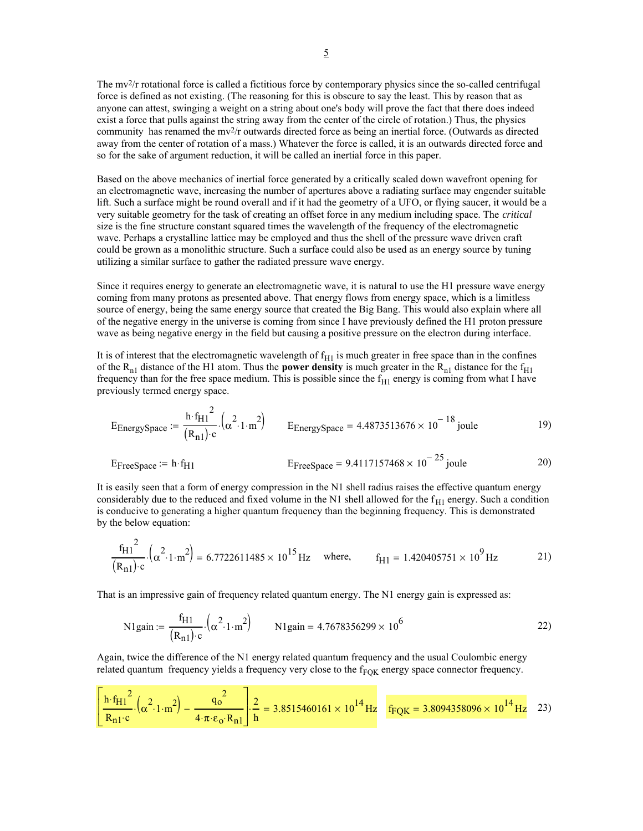The mv2/r rotational force is called a fictitious force by contemporary physics since the so-called centrifugal force is defined as not existing. (The reasoning for this is obscure to say the least. This by reason that as anyone can attest, swinging a weight on a string about one's body will prove the fact that there does indeed exist a force that pulls against the string away from the center of the circle of rotation.) Thus, the physics community has renamed the mv2/r outwards directed force as being an inertial force. (Outwards as directed away from the center of rotation of a mass.) Whatever the force is called, it is an outwards directed force and so for the sake of argument reduction, it will be called an inertial force in this paper.

Based on the above mechanics of inertial force generated by a critically scaled down wavefront opening for an electromagnetic wave, increasing the number of apertures above a radiating surface may engender suitable lift. Such a surface might be round overall and if it had the geometry of a UFO, or flying saucer, it would be a very suitable geometry for the task of creating an offset force in any medium including space. The *critical* size is the fine structure constant squared times the wavelength of the frequency of the electromagnetic wave. Perhaps a crystalline lattice may be employed and thus the shell of the pressure wave driven craft could be grown as a monolithic structure. Such a surface could also be used as an energy source by tuning utilizing a similar surface to gather the radiated pressure wave energy.

Since it requires energy to generate an electromagnetic wave, it is natural to use the H1 pressure wave energy coming from many protons as presented above. That energy flows from energy space, which is a limitless source of energy, being the same energy source that created the Big Bang. This would also explain where all of the negative energy in the universe is coming from since I have previously defined the H1 proton pressure wave as being negative energy in the field but causing a positive pressure on the electron during interface.

It is of interest that the electromagnetic wavelength of  $f_{H1}$  is much greater in free space than in the confines of the  $R_{n1}$  distance of the H1 atom. Thus the **power density** is much greater in the  $R_{n1}$  distance for the f<sub>H1</sub> frequency than for the free space medium. This is possible since the  $f_{H1}$  energy is coming from what I have previously termed energy space.

$$
E_{\text{EnergySpace}} := \frac{\text{h} \cdot f_{\text{H1}}^2}{(R_{\text{n1}}) \cdot \text{c}} \cdot \left(\alpha^2 \cdot 1 \cdot \text{m}^2\right) \qquad E_{\text{EnergySpace}} = 4.4873513676 \times 10^{-18} \text{ joule}
$$

$$
E_{\text{FreeSpace}} := h \cdot f_{\text{H1}} \qquad \qquad E_{\text{FreeSpace}} = 9.4117157468 \times 10^{-25} \text{ joule} \qquad \qquad 20)
$$

It is easily seen that a form of energy compression in the N1 shell radius raises the effective quantum energy considerably due to the reduced and fixed volume in the N1 shell allowed for the  $f_{H1}$  energy. Such a condition is conducive to generating a higher quantum frequency than the beginning frequency. This is demonstrated by the below equation:

$$
\frac{f_{H1}^{2}}{(R_{n1}) \cdot c} \cdot \left(\alpha^{2} \cdot 1 \cdot m^{2}\right) = 6.7722611485 \times 10^{15} \text{ Hz} \text{ where, } f_{H1} = 1.420405751 \times 10^{9} \text{ Hz}
$$
 21)

That is an impressive gain of frequency related quantum energy. The N1 energy gain is expressed as:

N1gain := 
$$
\frac{f_{H1}}{(R_{n1}) \cdot c} \cdot (\alpha^2 \cdot 1 \cdot m^2)
$$
 N1gain = 4.7678356299 × 10<sup>6</sup> 22)

Again, twice the difference of the N1 energy related quantum frequency and the usual Coulombic energy related quantum frequency yields a frequency very close to the  $f_{FOK}$  energy space connector frequency.

$$
\left[ \frac{\text{h} \cdot \text{f}_{\text{H1}}^2}{\text{R}_{\text{n1}} \cdot \text{c}} \cdot \left( \alpha^2 \cdot 1 \cdot \text{m}^2 \right) - \frac{q_0^2}{4 \cdot \pi \cdot \varepsilon_0 \cdot \text{R}_{\text{n1}}^2} \right] \cdot \frac{2}{\text{h}} = 3.8515460161 \times 10^{14} \text{ Hz} \quad \text{f}_{\text{FQK}} = 3.8094358096 \times 10^{14} \text{ Hz} \quad 23)
$$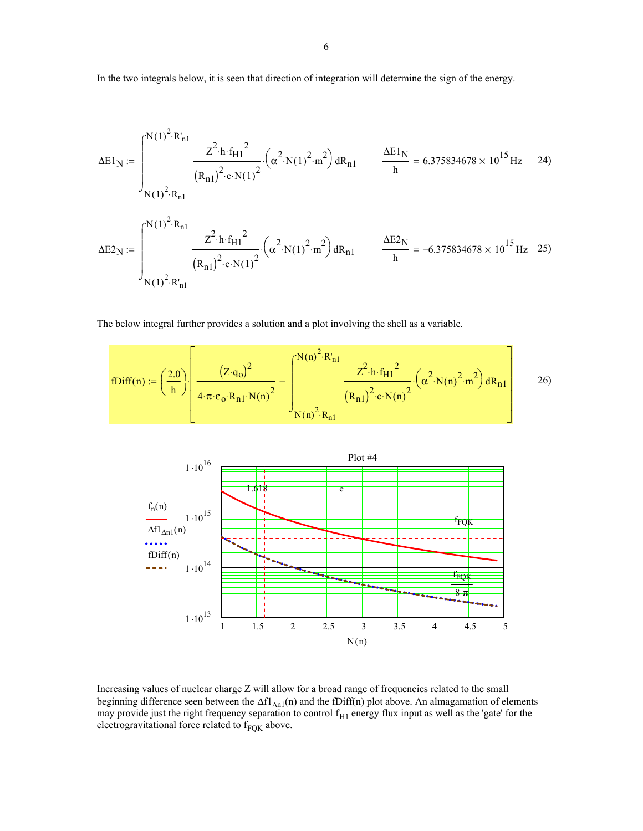In the two integrals below, it is seen that direction of integration will determine the sign of the energy.

$$
\Delta E1_{N} := \int_{N(1)^{2} \cdot R_{n1}}^{N(1)^{2} \cdot R_{n1}} \frac{z^{2} \cdot h \cdot f_{H1}^{2}}{(R_{n1})^{2} \cdot e \cdot N(1)^{2}} \cdot (\alpha^{2} \cdot N(1)^{2} \cdot m^{2}) dR_{n1} \qquad \frac{\Delta E1_{N}}{h} = 6.375834678 \times 10^{15} Hz \quad 24)
$$
  

$$
\Delta E2_{N} := \int_{N(1)^{2} \cdot R_{n1}}^{N(1)^{2} \cdot R_{n1}} \frac{z^{2} \cdot h \cdot f_{H1}^{2}}{(R_{n1})^{2} \cdot e \cdot N(1)^{2}} \cdot (\alpha^{2} \cdot N(1)^{2} \cdot m^{2}) dR_{n1} \qquad \frac{\Delta E2_{N}}{h} = -6.375834678 \times 10^{15} Hz \quad 25)
$$

The below integral further provides a solution and a plot involving the shell as a variable.

$$
\mathrm{fDiff}(n) := \left(\frac{2.0}{h}\right) \left[\frac{\left(Z \cdot q_{o}\right)^{2}}{4 \cdot \pi \cdot \epsilon_{o} \cdot R_{n1} \cdot N(n)^{2}} - \int_{N(n)^{2} \cdot R_{n1}}^{N(n)^{2} \cdot R_{n1}} \frac{Z^{2} \cdot h \cdot f_{H1}^{2}}{\left(R_{n1}\right)^{2} \cdot c \cdot N(n)^{2}} \cdot \left(\alpha^{2} \cdot N(n)^{2} \cdot m^{2}\right) dR_{n1}\right] \tag{26}
$$



Increasing values of nuclear charge Z will allow for a broad range of frequencies related to the small beginning difference seen between the  $\Delta f l_{\Delta n1}(n)$  and the fDiff(n) plot above. An almagamation of elements may provide just the right frequency separation to control  $f<sub>H1</sub>$  energy flux input as well as the 'gate' for the electrogravitational force related to  $f_{FQK}$  above.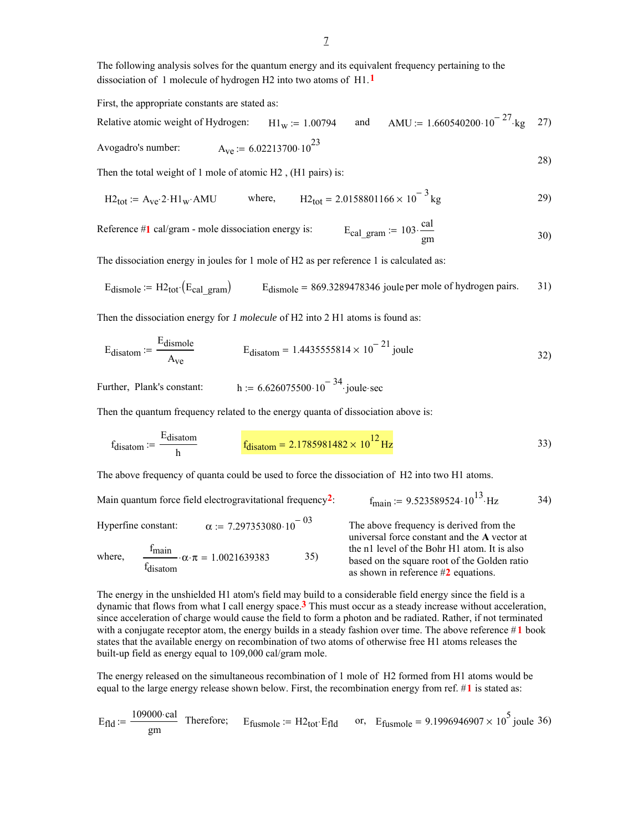The following analysis solves for the quantum energy and its equivalent frequency pertaining to the dissociation of 1 molecule of hydrogen H2 into two atoms of H1.**1**

First, the appropriate constants are stated as:

Relative atomic weight of Hydrogen:  $H1_w := 1.00794$  and  $AMU := 1.660540200 \cdot 10^{-27}$  kg 27) Avogadro's number:  $A_{ve} = 6.02213700 \cdot 10^{23}$ 28)

Then the total weight of 1 mole of atomic H2 , (H1 pairs) is:

$$
H2_{\text{tot}} := A_{\text{ve}} \cdot 2 \cdot H1_{\text{w}} \cdot \text{AMU} \qquad \text{where,} \qquad H2_{\text{tot}} = 2.0158801166 \times 10^{-3} \text{kg} \tag{29}
$$

Reference  $#1$  cal/gram - mole dissociation energy is: cal  $\lim_{\text{gm}}$  30)

The dissociation energy in joules for 1 mole of H2 as per reference 1 is calculated as:

$$
E_{\text{dismole}} = H2_{\text{tot}}(E_{\text{cal gram}})
$$
  $E_{\text{dismole}} = 869.3289478346$  joule per mole of hydrogen pairs. 31)

Then the dissociation energy for *1 molecule* of H2 into 2 H1 atoms is found as:

$$
E_{disatom} := \frac{E_{dismole}}{A_{ve}}
$$
 
$$
E_{disatom} = 1.4435555814 \times 10^{-21} \text{ joule}
$$
 (32)

Further, Plank's constant: h :=  $6.626075500 \cdot 10^{-34}$  joule sec

Then the quantum frequency related to the energy quanta of dissociation above is:

$$
f_{\text{disatom}} := \frac{E_{\text{disatom}}}{h} \qquad \qquad f_{\text{disatom}} = 2.1785981482 \times 10^{12} \,\text{Hz} \tag{33}
$$

The above frequency of quanta could be used to force the dissociation of H2 into two H1 atoms.

Main quantum force field electrogravitational frequency<sup>2</sup>:  $f_{\text{main}} := 9.523589524 \cdot 10^{13} \cdot Hz$  34)

Hyperfine constant:  $\alpha = 7.297353080 \cdot 10^{-03}$ 

where, fmain fdisatom  $\cdot \alpha \cdot \pi = 1.0021639383$  35) The above frequency is derived from the universal force constant and the **A** vector at the n1 level of the Bohr H1 atom. It is also based on the square root of the Golden ratio as shown in reference #**2** equations.

The energy in the unshielded H1 atom's field may build to a considerable field energy since the field is a dynamic that flows from what I call energy space.**3** This must occur as a steady increase without acceleration, since acceleration of charge would cause the field to form a photon and be radiated. Rather, if not terminated with a conjugate receptor atom, the energy builds in a steady fashion over time. The above reference #**1** book states that the available energy on recombination of two atoms of otherwise free H1 atoms releases the built-up field as energy equal to 109,000 cal/gram mole.

The energy released on the simultaneous recombination of 1 mole of H2 formed from H1 atoms would be equal to the large energy release shown below. First, the recombination energy from ref. #**1** is stated as:

$$
E_{\text{fid}} := \frac{109000 \text{ cal}}{\text{gm}}
$$
 Therefore;  $E_{\text{fusmole}} := H2_{\text{tot}} \cdot E_{\text{fid}}$  or,  $E_{\text{fusmole}} = 9.1996946907 \times 10^5$  joule 36)

$$
\overline{\phantom{0}}
$$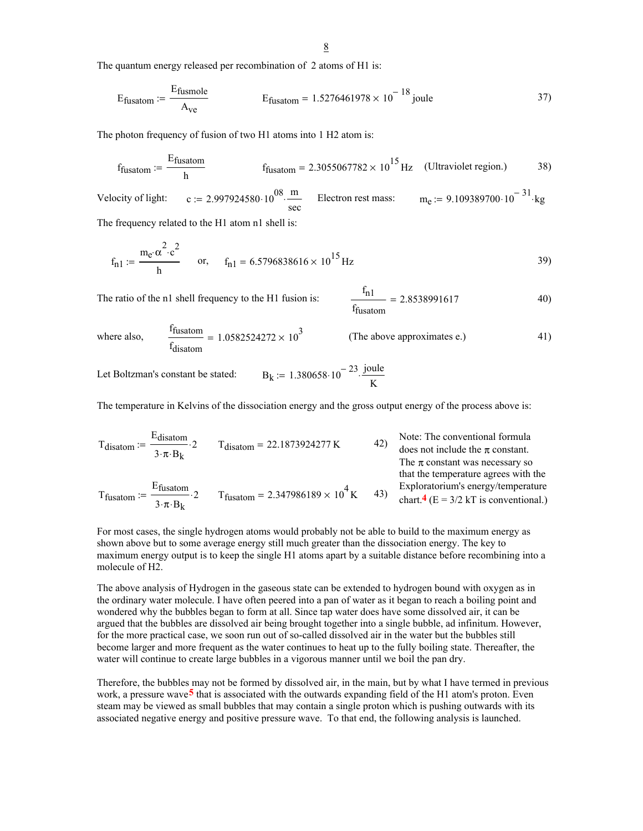The quantum energy released per recombination of 2 atoms of H1 is:

$$
E_{\text{fusatom}} := \frac{E_{\text{fusmole}}}{A_{\text{ve}}} \qquad E_{\text{fusatom}} = 1.5276461978 \times 10^{-18} \text{ joule} \qquad 37)
$$

The photon frequency of fusion of two H1 atoms into 1 H2 atom is:

$$
f_{\text{fusatom}} := \frac{E_{\text{fusatom}}}{h}
$$
 
$$
f_{\text{fusatom}} = 2.3055067782 \times 10^{15} \text{ Hz}
$$
 (Ultraviolet region.)

Velocity of light: c := 2.997924580  $\cdot 10^{08} \cdot \frac{m}{\text{sec}}$  Electron rest mass:  $m_e$  := 9.109389700  $\cdot 10^{-31}$  kg

The frequency related to the H1 atom n1 shell is:

$$
f_{n1} := \frac{m_e \cdot \alpha^2 \cdot c^2}{h}
$$
 or,  $f_{n1} = 6.5796838616 \times 10^{15} Hz$  (39)

The ratio of the n1 shell frequency to the H1 fusion is:

$$
\frac{f_{n1}}{f_{\text{fusatom}}} = 2.8538991617 \tag{40}
$$

where also, 
$$
\frac{f_{\text{fusion}}}{f_{\text{disatom}}} = 1.0582524272 \times 10^3
$$
 (The above approximates e.) (1)

Let Boltzman's constant be stated:  $B_k := 1.380658 \cdot 10^{-23} \cdot \frac{\text{joule}}{K}$ 

The temperature in Kelvins of the dissociation energy and the gross output energy of the process above is:

$$
T_{disatom} := \frac{E_{disatom}}{3 \cdot \pi \cdot B_k} \cdot 2
$$
\n
$$
T_{disatom} = 22.1873924277 \text{ K}
$$
\n
$$
T_{disatom} = 22.1873924277 \text{ K}
$$
\n
$$
T_{the \pi \text{ constant.}} = 42
$$
\n
$$
T_{the \pi \text{ constant.}} = \pi \cdot 22.1873924277 \text{ K}
$$
\n
$$
T_{the \pi \text{ constant.}} = \pi \cdot 22.1873924277 \text{ K}
$$
\n
$$
T_{the \pi \text{ constant.}} = \pi \cdot 22.1873924277 \text{ K}
$$
\n
$$
T_{the \pi \text{ constant.}} = \pi \cdot 22.1873924277 \text{ K}
$$
\n
$$
T_{the \pi \text{ constant.}} = \pi \cdot 22.1873924277 \text{ K}
$$
\n
$$
T_{the \pi \text{ constant.}} = \pi \cdot 22.1873924277 \text{ K}
$$
\n
$$
T_{the \pi \text{ constant.}} = \pi \cdot 22.1873924277 \text{ K}
$$
\n
$$
T_{the \pi \text{ constant.}} = \pi \cdot 22.1873924277 \text{ K}
$$
\n
$$
T_{the \pi \text{ constant.}} = \pi \cdot 22.1873924277 \text{ K}
$$
\n
$$
T_{the \pi \text{ constant.}} = \pi \cdot 22.1873924277 \text{ K}
$$

$$
T_{\text{fusatom}} := \frac{E_{\text{fusatom}}}{3 \cdot \pi \cdot B_k} \cdot 2
$$
\n
$$
T_{\text{fusatom}} = 2.347986189 \times 10^4 \text{ K}
$$
\n
$$
T_{\text{fusatom}} = 43
$$
\n
$$
T_{\text{fusatom}} = 2.347986189 \times 10^4 \text{ K}
$$
\n
$$
T_{\text{fusatom}} = 43
$$
\n
$$
T_{\text{fusatom}} = 2.347986189 \times 10^4 \text{ K}
$$
\n
$$
T_{\text{fusatom}} = 43
$$
\n
$$
T_{\text{fusatom}} = 2.347986189 \times 10^4 \text{ K}
$$
\n
$$
T_{\text{fusatom}} = 2.347986189 \times 10^4 \text{ K}
$$
\n
$$
T_{\text{fusatom}} = 2.347986189 \times 10^4 \text{ K}
$$

For most cases, the single hydrogen atoms would probably not be able to build to the maximum energy as shown above but to some average energy still much greater than the dissociation energy. The key to maximum energy output is to keep the single H1 atoms apart by a suitable distance before recombining into a molecule of H2.

The above analysis of Hydrogen in the gaseous state can be extended to hydrogen bound with oxygen as in the ordinary water molecule. I have often peered into a pan of water as it began to reach a boiling point and wondered why the bubbles began to form at all. Since tap water does have some dissolved air, it can be argued that the bubbles are dissolved air being brought together into a single bubble, ad infinitum. However, for the more practical case, we soon run out of so-called dissolved air in the water but the bubbles still become larger and more frequent as the water continues to heat up to the fully boiling state. Thereafter, the water will continue to create large bubbles in a vigorous manner until we boil the pan dry.

Therefore, the bubbles may not be formed by dissolved air, in the main, but by what I have termed in previous work, a pressure wave**5** that is associated with the outwards expanding field of the H1 atom's proton. Even steam may be viewed as small bubbles that may contain a single proton which is pushing outwards with its associated negative energy and positive pressure wave. To that end, the following analysis is launched.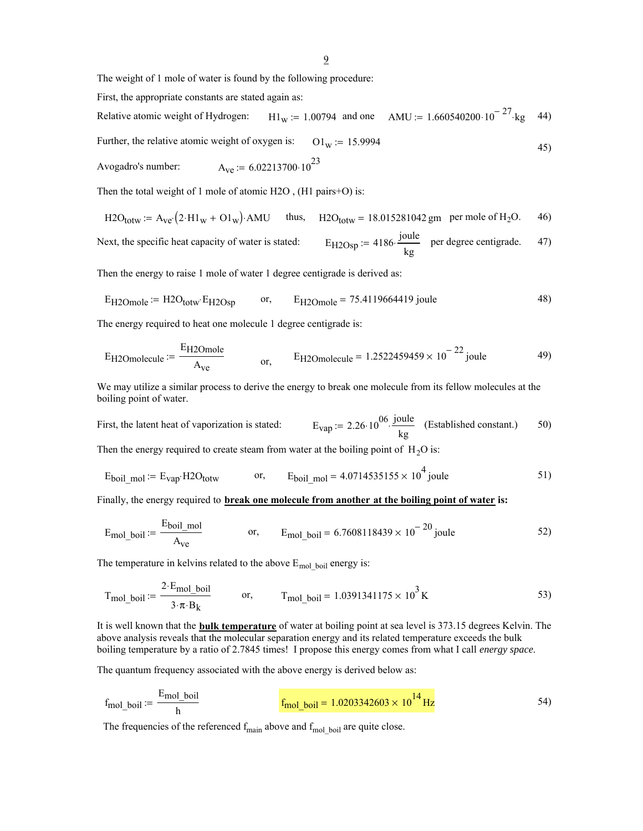The weight of 1 mole of water is found by the following procedure:

First, the appropriate constants are stated again as:

Relative atomic weight of Hydrogen: H1<sub>W</sub> := 1.00794 and one AMU := 1.660540200 $\cdot 10^{-27}$  kg 44) Further, the relative atomic weight of oxygen is:  $O1_w := 15.9994$  (45)

Avogadro's number:  $A_{ve} = 6.02213700 \cdot 10^{23}$ 

Then the total weight of 1 mole of atomic H2O , (H1 pairs+O) is:

$$
\text{H2O}_{\text{totw}} := \text{A}_{\text{ve}} \left( 2 \cdot \text{H1}_{\text{w}} + \text{O1}_{\text{w}} \right) \cdot \text{AMU} \qquad \text{thus}, \quad \text{H2O}_{\text{totw}} = 18.015281042 \text{ gm} \quad \text{per mole of H}_{2}\text{O}. \tag{46}
$$

Next, the specific heat capacity of water is stated: 
$$
E_{H2Osp} := 4186 \cdot \frac{joule}{kg}
$$
 per degree centigrade. 47)

Then the energy to raise 1 mole of water 1 degree centigrade is derived as:

$$
E_{H2Omole} := H2O_{totw} \cdot E_{H2Osp} \qquad or, \qquad E_{H2Omole} = 75.4119664419 \text{ joule}
$$

The energy required to heat one molecule 1 degree centigrade is:

$$
E_{\text{H2Omolecule}} := \frac{E_{\text{H2Omole}}}{A_{\text{ve}}} \qquad \qquad \text{or,} \qquad \text{E}_{\text{H2Omolecule}} = 1.2522459459 \times 10^{-22} \text{ joule} \qquad \qquad \text{49}
$$

We may utilize a similar process to derive the energy to break one molecule from its fellow molecules at the boiling point of water.

First, the latent heat of vaporization is stated:  $E_{vap} = 2.26 \cdot 10^{06} \cdot \frac{joule}{kg}$  (Established constant.) 50)

Then the energy required to create steam from water at the boiling point of  $H_2O$  is:

$$
E_{\text{boil\_mol}} := E_{\text{vap}} \cdot H2O_{\text{totw}} \qquad \text{or,} \qquad E_{\text{boil\_mol}} = 4.0714535155 \times 10^4 \text{ joule}
$$

Finally, the energy required to **break one molecule from another at the boiling point of water is:**

$$
E_{\text{mol\_boil}} := \frac{E_{\text{boil\_mol}}}{A_{\text{ve}}}
$$
 or, 
$$
E_{\text{mol\_boil}} = 6.7608118439 \times 10^{-20} \text{ joule}
$$
 52)

The temperature in kelvins related to the above  $E_{\text{mol}}$  boil energy is:

$$
T_{\text{mol\_boil}} := \frac{2 \cdot E_{\text{mol\_boil}}}{3 \cdot \pi \cdot B_k}
$$
 or, 
$$
T_{\text{mol\_boil}} = 1.0391341175 \times 10^3 \text{ K}
$$

It is well known that the **bulk temperature** of water at boiling point at sea level is 373.15 degrees Kelvin. The above analysis reveals that the molecular separation energy and its related temperature exceeds the bulk boiling temperature by a ratio of 2.7845 times! I propose this energy comes from what I call *energy space*.

The quantum frequency associated with the above energy is derived below as:

$$
f_{\text{mol\_boil}} := \frac{E_{\text{mol\_boil}}}{h}
$$
 
$$
f_{\text{mol\_boil}} = 1.0203342603 \times 10^{14} \text{ Hz}
$$
 54)

The frequencies of the referenced  $f_{\text{main}}$  above and  $f_{\text{mol}}$  boil are quite close.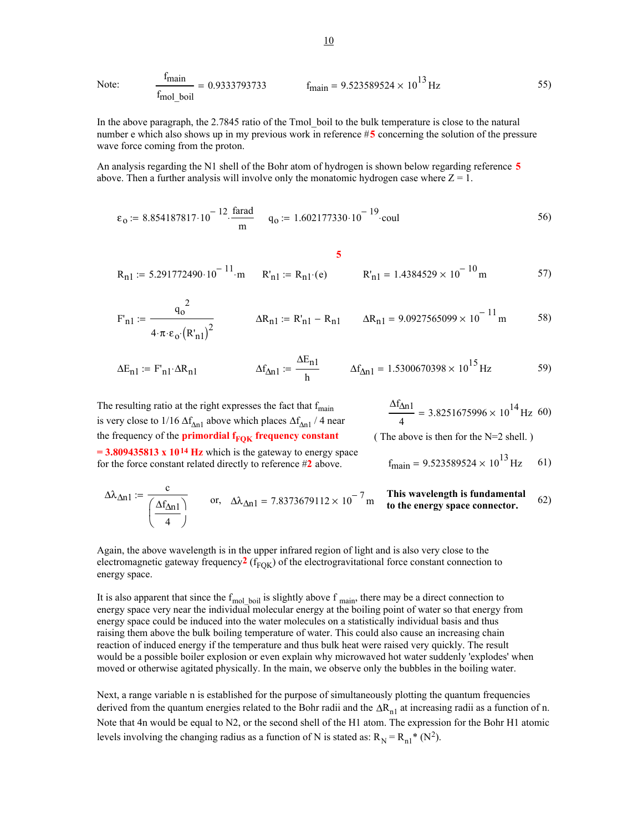Note: 
$$
\frac{f_{\text{main}}}{f_{\text{mol}} \text{boil}} = 0.9333793733 \qquad f_{\text{main}} = 9.523589524 \times 10^{13} \text{ Hz}
$$

In the above paragraph, the 2.7845 ratio of the Tmol\_boil to the bulk temperature is close to the natural number e which also shows up in my previous work in reference #**5** concerning the solution of the pressure wave force coming from the proton.

An analysis regarding the N1 shell of the Bohr atom of hydrogen is shown below regarding reference **5** above. Then a further analysis will involve only the monatomic hydrogen case where  $Z = 1$ .

$$
\varepsilon_0 := 8.854187817 \cdot 10^{-12} \cdot \frac{\text{farad}}{\text{m}}
$$
  $q_0 := 1.602177330 \cdot 10^{-19} \cdot \text{coul}$  56)

$$
R_{n1} := 5.291772490 \cdot 10^{-11}
$$
 m  $R'_{n1} := R_{n1} \cdot (e)$   $R'_{n1} = 1.4384529 \times 10^{-10}$  m  $57$ 

$$
F'_{n1} := \frac{q_o^2}{4 \cdot \pi \cdot \epsilon_o (R'_{n1})^2}
$$
  $\Delta R_{n1} := R'_{n1} - R_{n1}$   $\Delta R_{n1} = 9.0927565099 \times 10^{-11} m$  58)

$$
\Delta E_{n1} := F_{n1} \cdot \Delta R_{n1} \qquad \Delta f_{\Delta n1} := \frac{\Delta E_{n1}}{h} \qquad \Delta f_{\Delta n1} = 1.5300670398 \times 10^{15} \text{ Hz} \qquad 59)
$$

The resulting ratio at the right expresses the fact that  $f_{\text{main}}$ is very close to 1/16  $\Delta f_{\Delta n1}$  above which places  $\Delta f_{\Delta n1}$  / 4 near the frequency of the **primordial f<sub>FOK</sub> frequency constant**  $= 3.809435813 \times 10^{14}$  Hz which is the gateway to energy space for the force constant related directly to reference #**2** above.

$$
\frac{\Delta f_{\Delta n1}}{4} = 3.8251675996 \times 10^{14} \,\text{Hz} \, 60
$$

( The above is then for the N=2 shell. )

$$
f_{\text{main}} = 9.523589524 \times 10^{13} \text{ Hz}
$$
 61)

$$
\Delta\lambda_{\Delta n1} := \frac{c}{\left(\frac{\Delta f_{\Delta n1}}{4}\right)}
$$
 or,  $\Delta\lambda_{\Delta n1} = 7.8373679112 \times 10^{-7} \text{ m}$  This wavelength is fundamental to the energy space connector. (62)

Again, the above wavelength is in the upper infrared region of light and is also very close to the electromagnetic gateway frequency<sup>2</sup> ( $f_{FOK}$ ) of the electrogravitational force constant connection to energy space.

It is also apparent that since the  $f_{mol\_boil}$  is slightly above  $f_{main}$ , there may be a direct connection to energy space very near the individual molecular energy at the boiling point of water so that energy from energy space could be induced into the water molecules on a statistically individual basis and thus raising them above the bulk boiling temperature of water. This could also cause an increasing chain reaction of induced energy if the temperature and thus bulk heat were raised very quickly. The result would be a possible boiler explosion or even explain why microwaved hot water suddenly 'explodes' when moved or otherwise agitated physically. In the main, we observe only the bubbles in the boiling water.

Next, a range variable n is established for the purpose of simultaneously plotting the quantum frequencies derived from the quantum energies related to the Bohr radii and the  $\Delta R_{n1}$  at increasing radii as a function of n. Note that 4n would be equal to N2, or the second shell of the H1 atom. The expression for the Bohr H1 atomic levels involving the changing radius as a function of N is stated as:  $R_N = R_{n1}^* (N^2)$ .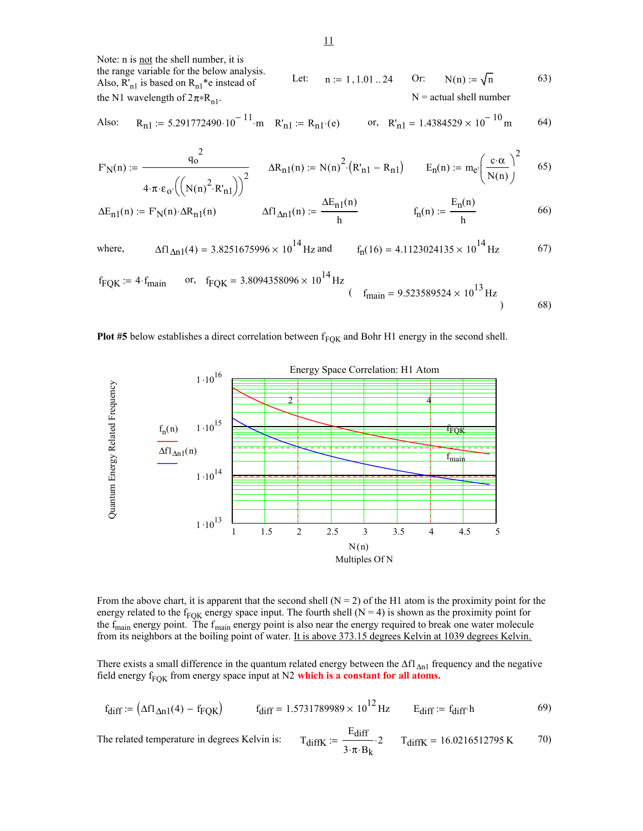Note: n is not the shell number, it is the range variable for the below analysis. Also,  $R_{n1}$  is based on  $R_{n1}$ <sup>\*</sup>e instead of the N1 wavelength of  $2\pi$ \*R<sub>n1</sub>. Let:  $n := 1, 1.01...24$  Or:  $N(n) := \sqrt{n}$  63)  $N =$  actual shell number

Also: 
$$
R_{n1} = 5.291772490 \cdot 10^{-11} \cdot m
$$
  $R'_{n1} = R_{n1} \cdot (e)$  or,  $R'_{n1} = 1.4384529 \times 10^{-10} m$  64)

$$
F_N(n) := \frac{q_0^2}{4 \cdot \pi \cdot \epsilon_0 \cdot ((N(n)^2 \cdot R'_{n1}))^2} \qquad \Delta R_{n1}(n) := N(n)^2 \cdot (R'_{n1} - R_{n1}) \qquad E_n(n) := m_e \cdot \left(\frac{c \cdot \alpha}{N(n)}\right)^2 \qquad 65)
$$

$$
\Delta E_{n1}(n) := F_N(n) \cdot \Delta R_{n1}(n) \qquad \qquad \Delta f l_{\Delta n1}(n) := \frac{\Delta E_{n1}(n)}{h} \qquad \qquad f_n(n) := \frac{E_n(n)}{h} \qquad \qquad 66)
$$

where, 
$$
\Delta f1_{\Delta n}(4) = 3.8251675996 \times 10^{14} \text{ Hz}
$$
 and  $f_n(16) = 4.1123024135 \times 10^{14} \text{ Hz}$  67)

$$
f_{\text{FQK}} := 4 \cdot f_{\text{main}}
$$
 or,  $f_{\text{FQK}} = 3.8094358096 \times 10^{14} \text{ Hz}$  ( $f_{\text{main}} = 9.523589524 \times 10^{13} \text{ Hz}$ ) (68)

## **Plot #5** below establishes a direct correlation between f<sub>FOK</sub> and Bohr H1 energy in the second shell.



From the above chart, it is apparent that the second shell  $(N = 2)$  of the H1 atom is the proximity point for the energy related to the f<sub>FOK</sub> energy space input. The fourth shell (N = 4) is shown as the proximity point for the  $f_{\text{main}}$  energy point. The  $f_{\text{main}}$  energy point is also near the energy required to break one water molecule from its neighbors at the boiling point of water. It is above 373.15 degrees Kelvin at 1039 degrees Kelvin.

There exists a small difference in the quantum related energy between the  $\Delta f l_{\Delta n1}$  frequency and the negative field energy  $f_{FQK}$  from energy space input at N2 which is a constant for all atoms.

$$
f_{\text{diff}} := \left(\Delta f l_{\Delta n 1}(4) - f_{\text{FQK}}\right) \qquad f_{\text{diff}} = 1.5731789989 \times 10^{12} \text{ Hz} \qquad E_{\text{diff}} := f_{\text{diff}} \cdot h \tag{9}
$$

The related temperature in degrees Kelvin is: 
$$
T_{diffK} := \frac{E_{diff}}{3 \cdot \pi \cdot B_k} \cdot 2
$$
  $T_{diffK} = 16.0216512795 \text{ K}$  70)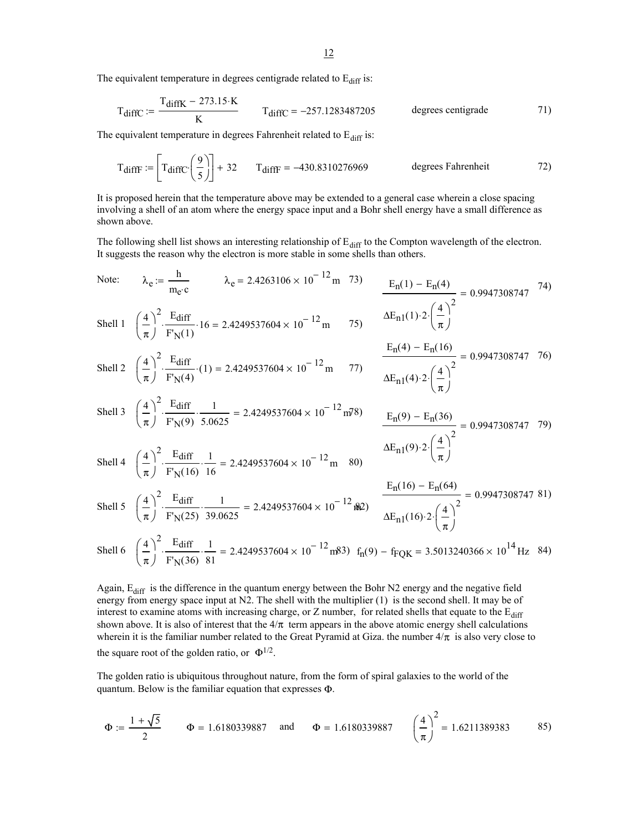The equivalent temperature in degrees centigrade related to  $E_{diff}$  is:

$$
T_{\text{diffC}} := \frac{T_{\text{diffK}} - 273.15 \cdot K}{K}
$$
 
$$
T_{\text{diffC}} = -257.1283487205
$$
 degrees centigrade (71)

The equivalent temperature in degrees Fahrenheit related to  $E_{diff}$  is:

$$
T_{\text{diffF}} := \left[ T_{\text{diffC}} \left( \frac{9}{5} \right) \right] + 32 \qquad T_{\text{diffF}} = -430.8310276969 \qquad \text{degrees Fahrenheit} \tag{72}
$$

It is proposed herein that the temperature above may be extended to a general case wherein a close spacing involving a shell of an atom where the energy space input and a Bohr shell energy have a small difference as shown above.

The following shell list shows an interesting relationship of  $E_{diff}$  to the Compton wavelength of the electron. It suggests the reason why the electron is more stable in some shells than others.

Note: 
$$
\lambda_e := \frac{h}{m_e c}
$$
  $\lambda_e = 2.4263106 \times 10^{-12} \text{ m}$  73)  $\frac{E_n(1) - E_n(4)}{\left(\frac{4}{\pi}\right)^2} = 0.9947308747$  74)  
\nShell 1  $\left(\frac{4}{\pi}\right)^2 \cdot \frac{E_{diff}}{F_N(1)} \cdot 16 = 2.4249537604 \times 10^{-12} \text{ m}$  75)  $\frac{\Delta E_{n1}(1) \cdot 2 \cdot \left(\frac{4}{\pi}\right)^2}{\Delta E_{n1}(4) \cdot 2 \cdot \left(\frac{4}{\pi}\right)^2} = 0.9947308747$  76)  
\nShell 2  $\left(\frac{4}{\pi}\right)^2 \cdot \frac{E_{diff}}{F_N(4)} \cdot (1) = 2.4249537604 \times 10^{-12} \text{ m}$  77)  $\frac{E_n(4) - E_n(16)}{\Delta E_{n1}(4) \cdot 2 \cdot \left(\frac{4}{\pi}\right)^2} = 0.9947308747$  76)  
\nShell 3  $\left(\frac{4}{\pi}\right)^2 \cdot \frac{E_{diff}}{F_N(9)} \cdot \frac{1}{5.0625} = 2.4249537604 \times 10^{-12} \text{ m}$  80)  $\frac{E_n(9) - E_n(36)}{\Delta E_{n1}(9) \cdot 2 \cdot \left(\frac{4}{\pi}\right)^2} = 0.9947308747$  79)  
\nShell 4  $\left(\frac{4}{\pi}\right)^2 \cdot \frac{E_{diff}}{F_N(16)} \cdot \frac{1}{16} = 2.4249537604 \times 10^{-12} \text{ m}$  80)  
\nShell 5  $\left(\frac{4}{\pi}\right)^2 \cdot \frac{E_{diff}}{F_N(25)} \cdot \frac{1}{39.0625} = 2.4249537604 \times 10^{-12} \frac{E_{in}}{W}$   
\nShell 6  $\left(\frac{4}{\pi}\right)^2 \cdot \frac{E_{diff}}{F_N(25)} \cdot \$ 

Shell 6 
$$
\left(\frac{4}{\pi}\right)^2 \cdot \frac{\text{Ediff}}{\text{F}'_N(36)} \cdot \frac{1}{81} = 2.4249537604 \times 10^{-12} \text{ m}^{3} \text{m}^3 \text{m} \cdot \text{m}^3 \cdot \text{m}^2 \cdot \text{m}^2 \cdot \text{m}^3 \cdot \text{m}^3 \cdot \text{m}^3 \cdot \text{m}^3 \cdot \text{m}^3 \cdot \text{m}^3 \cdot \text{m}^3 \cdot \text{m}^3 \cdot \text{m}^3 \cdot \text{m}^3 \cdot \text{m}^3 \cdot \text{m}^3 \cdot \text{m}^3 \cdot \text{m}^3 \cdot \text{m}^3 \cdot \text{m}^3 \cdot \text{m}^3 \cdot \text{m}^3 \cdot \text{m}^3 \cdot \text{m}^3 \cdot \text{m}^3 \cdot \text{m}^3 \cdot \text{m}^3 \cdot \text{m}^3 \cdot \text{m}^3 \cdot \text{m}^3 \cdot \text{m}^3 \cdot \text{m}^3 \cdot \text{m}^3 \cdot \text{m}^3 \cdot \text{m}^3 \cdot \text{m}^3 \cdot \text{m}^3 \cdot \text{m}^3 \cdot \text{m}^3 \cdot \text{m}^3 \cdot \text{m}^3 \cdot \text{m}^3 \cdot \text{m}^3 \cdot \text{m}^3 \cdot \text{m}^3 \cdot \text{m}^3 \cdot \text{m}^3 \cdot \text{m}^3 \cdot \text{m}^3 \cdot \text{m}^3 \cdot \text{m}^3 \cdot \text{m}^3 \cdot \text{m}^3 \cdot \text{m}^3 \cdot \text{m}^3 \cdot \text{m}^3 \cdot \text{m}^3 \cdot \text{m}^3 \cdot \text{m}^3 \cdot \text{m}^3 \cdot \text{m}^3 \cdot \text{m}^3 \cdot \text{m}^3 \cdot \text{m}^3 \cdot \text{m}^3 \cdot \text{m}^3 \cdot \text{m}^3 \cdot \text{m}^3 \cdot \text{m}^3 \cdot \text{m}^3 \cdot \text{m}^3 \cdot \text{m}^3 \cdot \text{m}^3 \cdot \text{m}^3 \cdot \text{m}^3 \cdot \text{m}
$$

Again,  $E_{diff}$  is the difference in the quantum energy between the Bohr N2 energy and the negative field energy from energy space input at N2. The shell with the multiplier (1) is the second shell. It may be of interest to examine atoms with increasing charge, or Z number, for related shells that equate to the  $E_{diff}$ shown above. It is also of interest that the  $4/\pi$  term appears in the above atomic energy shell calculations wherein it is the familiar number related to the Great Pyramid at Giza. the number  $4/\pi$  is also very close to the square root of the golden ratio, or  $\Phi^{1/2}$ .

The golden ratio is ubiquitous throughout nature, from the form of spiral galaxies to the world of the quantum. Below is the familiar equation that expresses Φ.

$$
\Phi := \frac{1 + \sqrt{5}}{2} \qquad \Phi = 1.6180339887 \quad \text{and} \qquad \Phi = 1.6180339887 \qquad \left(\frac{4}{\pi}\right)^2 = 1.6211389383 \qquad 85)
$$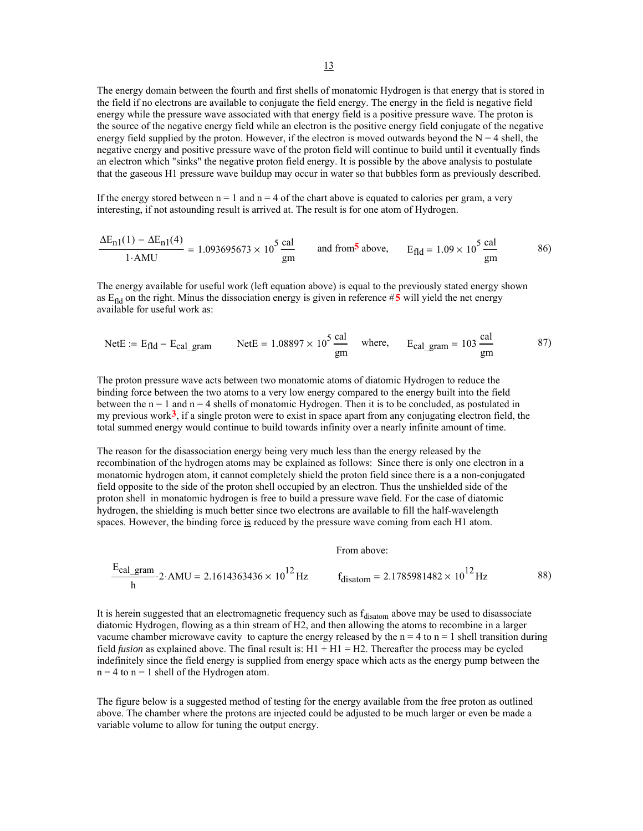The energy domain between the fourth and first shells of monatomic Hydrogen is that energy that is stored in the field if no electrons are available to conjugate the field energy. The energy in the field is negative field energy while the pressure wave associated with that energy field is a positive pressure wave. The proton is the source of the negative energy field while an electron is the positive energy field conjugate of the negative energy field supplied by the proton. However, if the electron is moved outwards beyond the  $N = 4$  shell, the negative energy and positive pressure wave of the proton field will continue to build until it eventually finds an electron which "sinks" the negative proton field energy. It is possible by the above analysis to postulate that the gaseous H1 pressure wave buildup may occur in water so that bubbles form as previously described.

If the energy stored between  $n = 1$  and  $n = 4$  of the chart above is equated to calories per gram, a very interesting, if not astounding result is arrived at. The result is for one atom of Hydrogen.

$$
\frac{\Delta E_{n1}(1) - \Delta E_{n1}(4)}{1. AMU} = 1.093695673 \times 10^5 \frac{\text{cal}}{\text{gm}} \quad \text{and from}^5 \text{ above}, \quad E_{\text{fid}} = 1.09 \times 10^5 \frac{\text{cal}}{\text{gm}} \tag{86}
$$

The energy available for useful work (left equation above) is equal to the previously stated energy shown as  $E_{\text{fid}}$  on the right. Minus the dissociation energy is given in reference  $#5$  will yield the net energy available for useful work as:

NetE := E<sub>fld</sub> - E<sub>calgram</sub> NetE = 
$$
1.08897 \times 10^5 \frac{\text{cal}}{\text{gm}}
$$
 where, E<sub>calgram</sub> =  $103 \frac{\text{cal}}{\text{gm}}$  87)

The proton pressure wave acts between two monatomic atoms of diatomic Hydrogen to reduce the binding force between the two atoms to a very low energy compared to the energy built into the field between the  $n = 1$  and  $n = 4$  shells of monatomic Hydrogen. Then it is to be concluded, as postulated in my previous work**3**, if a single proton were to exist in space apart from any conjugating electron field, the total summed energy would continue to build towards infinity over a nearly infinite amount of time.

The reason for the disassociation energy being very much less than the energy released by the recombination of the hydrogen atoms may be explained as follows: Since there is only one electron in a monatomic hydrogen atom, it cannot completely shield the proton field since there is a a non-conjugated field opposite to the side of the proton shell occupied by an electron. Thus the unshielded side of the proton shell in monatomic hydrogen is free to build a pressure wave field. For the case of diatomic hydrogen, the shielding is much better since two electrons are available to fill the half-wavelength spaces. However, the binding force is reduced by the pressure wave coming from each H1 atom.

From above:

$$
\frac{E_{\text{cal\_gram}}}{h} \cdot 2 \cdot \text{AMU} = 2.1614363436 \times 10^{12} \text{ Hz} \qquad f_{\text{disatom}} = 2.1785981482 \times 10^{12} \text{ Hz} \tag{88}
$$

It is herein suggested that an electromagnetic frequency such as  $f_{\text{disatom}}$  above may be used to disassociate diatomic Hydrogen, flowing as a thin stream of H2, and then allowing the atoms to recombine in a larger vacume chamber microwave cavity to capture the energy released by the  $n = 4$  to  $n = 1$  shell transition during field *fusion* as explained above. The final result is: H1 + H1 = H2. Thereafter the process may be cycled indefinitely since the field energy is supplied from energy space which acts as the energy pump between the  $n = 4$  to  $n = 1$  shell of the Hydrogen atom.

The figure below is a suggested method of testing for the energy available from the free proton as outlined above. The chamber where the protons are injected could be adjusted to be much larger or even be made a variable volume to allow for tuning the output energy.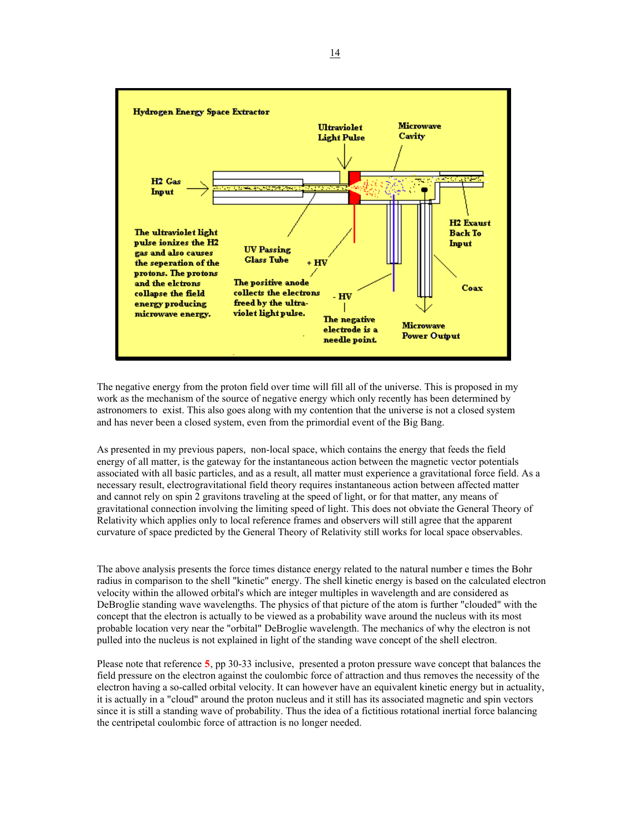

The negative energy from the proton field over time will fill all of the universe. This is proposed in my work as the mechanism of the source of negative energy which only recently has been determined by astronomers to exist. This also goes along with my contention that the universe is not a closed system and has never been a closed system, even from the primordial event of the Big Bang.

As presented in my previous papers, non-local space, which contains the energy that feeds the field energy of all matter, is the gateway for the instantaneous action between the magnetic vector potentials associated with all basic particles, and as a result, all matter must experience a gravitational force field. As a necessary result, electrogravitational field theory requires instantaneous action between affected matter and cannot rely on spin 2 gravitons traveling at the speed of light, or for that matter, any means of gravitational connection involving the limiting speed of light. This does not obviate the General Theory of Relativity which applies only to local reference frames and observers will still agree that the apparent curvature of space predicted by the General Theory of Relativity still works for local space observables.

The above analysis presents the force times distance energy related to the natural number e times the Bohr radius in comparison to the shell "kinetic" energy. The shell kinetic energy is based on the calculated electron velocity within the allowed orbital's which are integer multiples in wavelength and are considered as DeBroglie standing wave wavelengths. The physics of that picture of the atom is further "clouded" with the concept that the electron is actually to be viewed as a probability wave around the nucleus with its most probable location very near the "orbital" DeBroglie wavelength. The mechanics of why the electron is not pulled into the nucleus is not explained in light of the standing wave concept of the shell electron.

Please note that reference **5**, pp 30-33 inclusive, presented a proton pressure wave concept that balances the field pressure on the electron against the coulombic force of attraction and thus removes the necessity of the electron having a so-called orbital velocity. It can however have an equivalent kinetic energy but in actuality, it is actually in a "cloud" around the proton nucleus and it still has its associated magnetic and spin vectors since it is still a standing wave of probability. Thus the idea of a fictitious rotational inertial force balancing the centripetal coulombic force of attraction is no longer needed.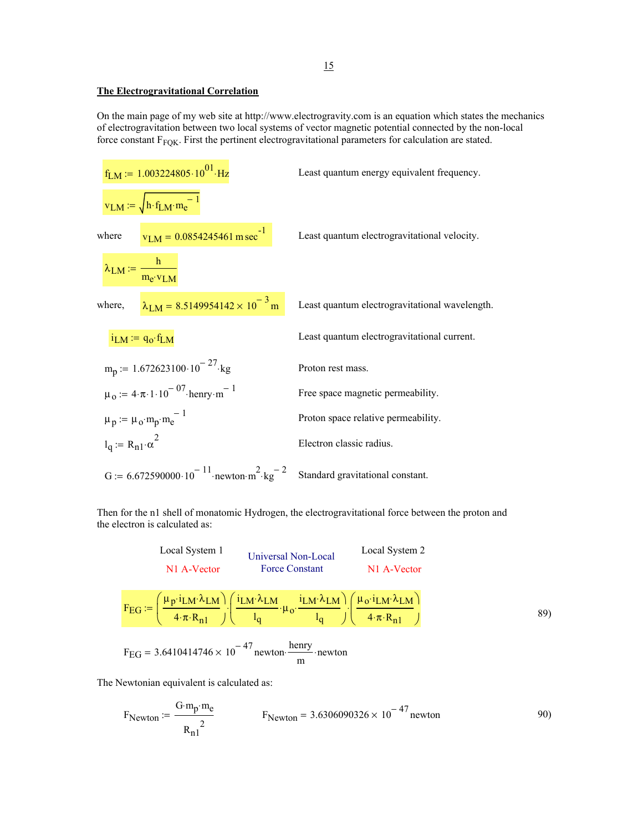## **The Electrogravitational Correlation**

On the main page of my web site at http://www.electrogravity.com is an equation which states the mechanics of electrogravitation between two local systems of vector magnetic potential connected by the non-local force constant  $F_{FQK}$ . First the pertinent electrogravitational parameters for calculation are stated.

$$
f_{LM} := 1.003224805 \cdot 10^{01} \cdot Hz
$$
\n
$$
v_{LM} := \sqrt{h \cdot f_{LM} \cdot m_e^{-1}}
$$
\n
$$
v_{LM} := \frac{h}{m_e \cdot v_{LM}}
$$
\n
$$
h = 0.0854245461 \text{ m sec}^{-1}
$$
\n
$$
v_{LM} := \frac{h}{m_e \cdot v_{LM}}
$$
\n
$$
v_{LM} := \frac{h}{m_e \cdot v_{LM}}
$$
\n
$$
v_{LM} = 8.5149954142 \times 10^{-3} \text{ m}
$$
\n
$$
v_{L} = 4 \cdot 10^{-3} \text{ m}
$$
\n
$$
v_{LM} = 4 \cdot 10^{-3} \text{ m}
$$
\n
$$
v_{LM} = 4 \cdot 10^{-3} \text{ m}
$$
\n
$$
v_{LM} = 4 \cdot 10^{-3} \text{ m}
$$
\n
$$
v_{LM} = 4 \cdot 10^{-3} \text{ m}
$$
\n
$$
v_{LM} = 4 \cdot 10^{-3} \text{ m}
$$
\n
$$
v_{LM} = 4 \cdot 10^{-3} \text{ m}
$$
\n
$$
v_{LM} = 4 \cdot 10^{-3} \text{ m}
$$
\n
$$
v_{LM} = 4 \cdot 10^{-3} \text{ m}
$$
\n
$$
v_{L} = 4 \cdot 10^{-3} \text{ m}
$$
\n
$$
v_{L} = 4 \cdot 10^{-3} \text{ m}
$$
\n
$$
v_{L} = 4 \cdot 10^{-3} \text{ m}
$$
\n
$$
v_{L} = 4 \cdot 10^{-3} \text{ m}
$$
\n
$$
v_{L} = 4 \cdot 10^{-3} \text{ m}
$$
\n
$$
v_{L} = 4 \cdot 10^{-3} \text{ m}
$$
\n
$$
v_{L} = 4 \cdot 10^{-3} \text{ m}
$$
\n
$$
v_{L} = 4 \cdot 10^{-3} \text{ m}
$$
\n
$$
v_{L} = 4 \cdot 10^{-3} \text{ m}
$$
\n
$$
v_{L} = 4 \cdot 10^{-
$$

Then for the n1 shell of monatomic Hydrogen, the electrogravitational force between the proton and the electron is calculated as:

Local System 1  
\nN1 A-Vector Force Constant  
\n
$$
F_{EG} := \left(\frac{\mu_{p} \cdot i_{LM} \cdot \lambda_{LM}}{4 \cdot \pi \cdot R_{n1}}\right) \cdot \left(\frac{i_{LM} \cdot \lambda_{LM}}{l_{q}} \cdot \mu_{o} \cdot \frac{i_{LM} \cdot \lambda_{LM}}{l_{q}}\right) \cdot \left(\frac{\mu_{o} \cdot i_{LM} \cdot \lambda_{LM}}{4 \cdot \pi \cdot R_{n1}}\right)
$$
\n(89)  
\n
$$
F_{EG} = 3.6410414746 \times 10^{-47} \text{ newton} \cdot \frac{\text{henry}}{\text{m}} \cdot \text{newton}
$$

The Newtonian equivalent is calculated as:

$$
F_{Newton} := \frac{G \cdot m_p \cdot m_e}{R_{n1}^2}
$$
 F\_{Newton} = 3.6306090326 × 10<sup>-47</sup> newton 90)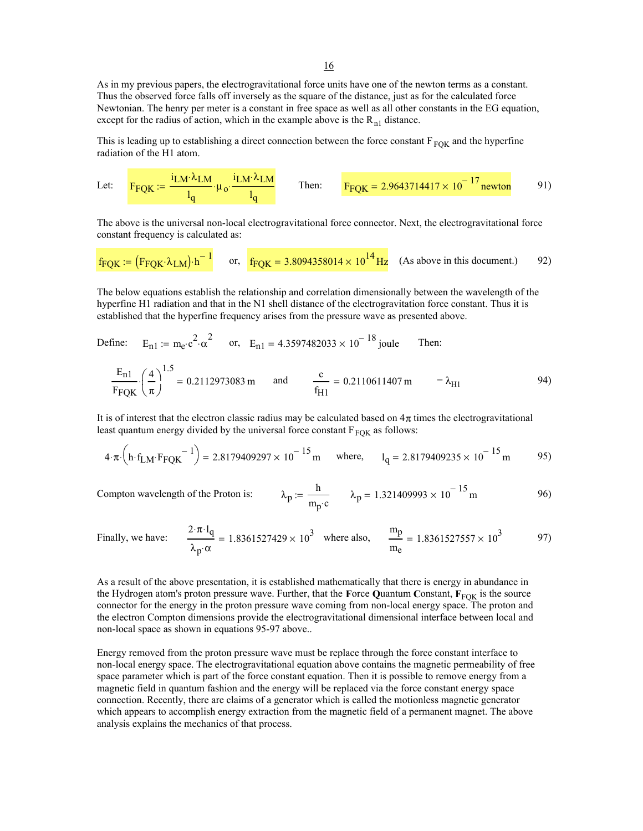16

As in my previous papers, the electrogravitational force units have one of the newton terms as a constant. Thus the observed force falls off inversely as the square of the distance, just as for the calculated force Newtonian. The henry per meter is a constant in free space as well as all other constants in the EG equation, except for the radius of action, which in the example above is the  $R_{n1}$  distance.

This is leading up to establishing a direct connection between the force constant  $F_{FOK}$  and the hyperfine radiation of the H1 atom.

Let: 
$$
F_{\text{FQK}} := \frac{i_{\text{LM}} \lambda_{\text{LM}}}{l_q} \cdot \mu_o \cdot \frac{i_{\text{LM}} \lambda_{\text{LM}}}{l_q} \qquad \text{Then:} \qquad F_{\text{FQK}} = 2.9643714417 \times 10^{-17} \text{newton}
$$

The above is the universal non-local electrogravitational force connector. Next, the electrogravitational force constant frequency is calculated as:

$$
f_{\text{FQK}} := (F_{\text{FQK}} \cdot \lambda_{\text{LM}}) \cdot h^{-1}
$$
 or,  $f_{\text{FQK}} = 3.8094358014 \times 10^{14} \text{ Hz}$  (As above in this document.) 92)

The below equations establish the relationship and correlation dimensionally between the wavelength of the hyperfine H1 radiation and that in the N1 shell distance of the electrogravitation force constant. Thus it is established that the hyperfine frequency arises from the pressure wave as presented above.

Define: 
$$
E_{n1} := m_e \cdot c^2 \cdot \alpha^2
$$
 or,  $E_{n1} = 4.3597482033 \times 10^{-18}$  joule Then:  
\n
$$
\frac{E_{n1}}{F_{FQK}} \cdot \left(\frac{4}{\pi}\right)^{1.5} = 0.2112973083 \text{ m}
$$
 and 
$$
\frac{c}{f_{H1}} = 0.2110611407 \text{ m} = \lambda_{H1}
$$

It is of interest that the electron classic radius may be calculated based on  $4\pi$  times the electrogravitational least quantum energy divided by the universal force constant  $F_{\text{FOK}}$  as follows:

Compton wavelength of the Proton

$$
4 \cdot \pi \cdot \left(\text{h} \cdot \text{f}_{LM} \cdot \text{F}_{PQK} \right)^{-1} = 2.8179409297 \times 10^{-15} \text{ m} \quad \text{where,} \quad 1_{q} = 2.8179409235 \times 10^{-15} \text{ m} \tag{95}
$$

is: 
$$
\lambda_p := \frac{h}{m_p c}
$$
  $\lambda_p = 1.321409993 \times 10^{-15} m$  96)

Finally, we have: 
$$
\frac{2 \cdot \pi \cdot l_q}{\lambda_p \cdot \alpha} = 1.8361527429 \times 10^3
$$
 where also,  $\frac{m_p}{m_e} = 1.8361527557 \times 10^3$  97)

As a result of the above presentation, it is established mathematically that there is energy in abundance in the Hydrogen atom's proton pressure wave. Further, that the **F**orce **Quantum Constant**,  $\mathbf{F}_{\text{FOK}}$  is the source connector for the energy in the proton pressure wave coming from non-local energy space. The proton and the electron Compton dimensions provide the electrogravitational dimensional interface between local and non-local space as shown in equations 95-97 above..

Energy removed from the proton pressure wave must be replace through the force constant interface to non-local energy space. The electrogravitational equation above contains the magnetic permeability of free space parameter which is part of the force constant equation. Then it is possible to remove energy from a magnetic field in quantum fashion and the energy will be replaced via the force constant energy space connection. Recently, there are claims of a generator which is called the motionless magnetic generator which appears to accomplish energy extraction from the magnetic field of a permanent magnet. The above analysis explains the mechanics of that process.